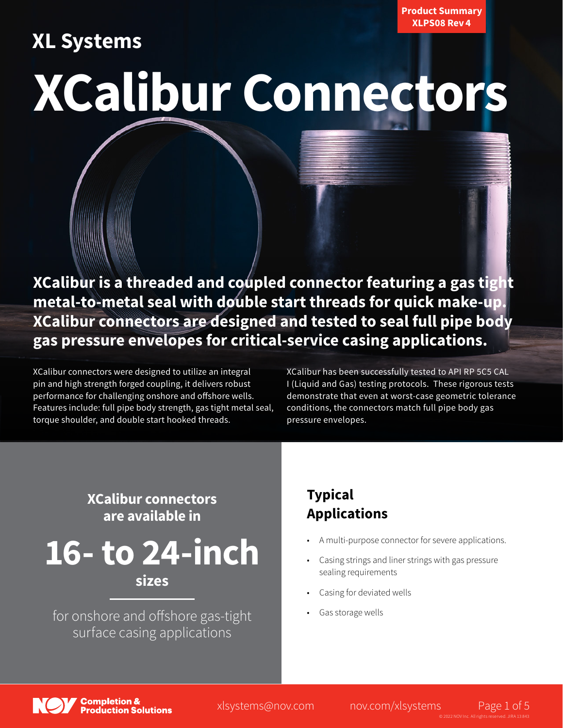## **XL Systems**

Product Summary XLPS08 Rev 4

# **XCalibur Connectors**

**XCalibur is a threaded and coupled connector featuring a gas tight metal-to-metal seal with double start threads for quick make-up. XCalibur connectors are designed and tested to seal full pipe body gas pressure envelopes for critical-service casing applications.**

XCalibur connectors were designed to utilize an integral pin and high strength forged coupling, it delivers robust performance for challenging onshore and offshore wells. Features include: full pipe body strength, gas tight metal seal, torque shoulder, and double start hooked threads.

XCalibur has been successfully tested to API RP 5C5 CAL I (Liquid and Gas) testing protocols. These rigorous tests demonstrate that even at worst-case geometric tolerance conditions, the connectors match full pipe body gas pressure envelopes.

## **XCalibur connectors are available in**

**16- to 24-inch**

**sizes**

for onshore and offshore gas-tight surface casing applications

## **Typical Applications**

- A multi-purpose connector for severe applications.
- Casing strings and liner strings with gas pressure sealing requirements
- Casing for deviated wells
- Gas storage wells

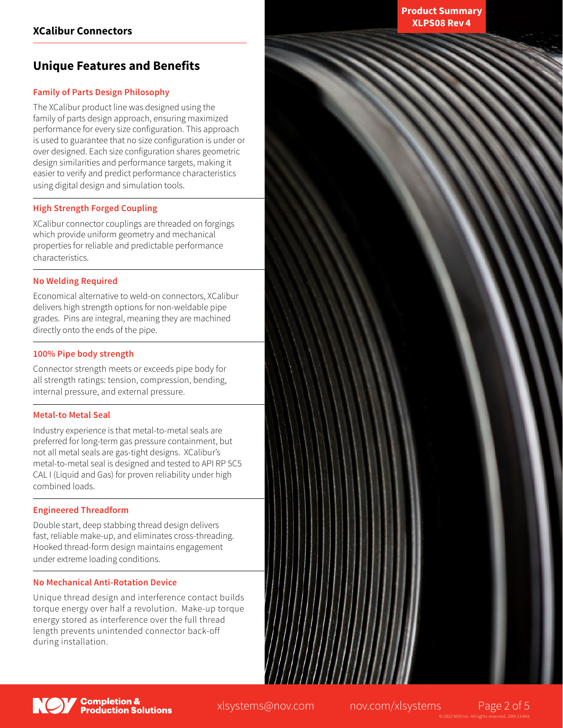## **Unique Features and Benefits**

#### **Family of Parts Design Philosophy**

The XCalibur product line was designed using the family of parts design approach, ensuring maximized performance for every size configuration. This approach is used to guarantee that no size configuration is under or over designed. Each size configuration shares geometric design similarities and performance targets, making it easier to verify and predict performance characteristics using digital design and simulation tools.

#### **High Strength Forged Coupling**

XCalibur connector couplings are threaded on forgings which provide uniform geometry and mechanical properties for reliable and predictable performance characteristics.

#### **No Welding Required**

Economical alternative to weld-on connectors, XCalibur delivers high strength options for non-weldable pipe grades. Pins are integral, meaning they are machined directly onto the ends of the pipe.

#### **100% Pipe body strength**

Connector strength meets or exceeds pipe body for all strength ratings: tension, compression, bending, internal pressure, and external pressure.

#### **Metal-to Metal Seal**

Industry experience is that metal-to-metal seals are preferred for long-term gas pressure containment, but not all metal seals are gas-tight designs. XCalibur's metal-to-metal seal is designed and tested to API RP 5C5 CAL I (Liquid and Gas) for proven reliability under high combined loads.

#### **Engineered Threadform**

Double start, deep stabbing thread design delivers fast, reliable make-up, and eliminates cross-threading. Hooked thread-form design maintains engagement under extreme loading conditions.

#### **No Mechanical Anti-Rotation Device**

Unique thread design and interference contact builds torque energy over half a revolution. Make-up torque energy stored as interference over the full thread length prevents unintended connector back-off during installation.

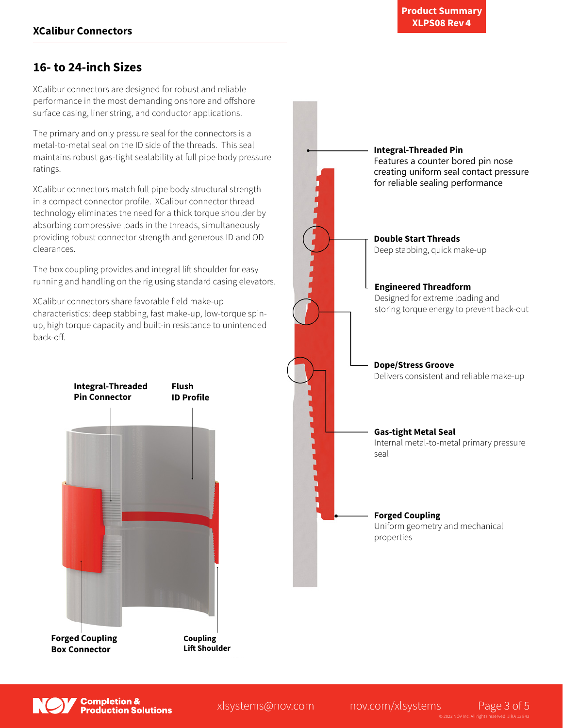## **16- to 24-inch Sizes**

XCalibur connectors are designed for robust and reliable performance in the most demanding onshore and offshore surface casing, liner string, and conductor applications.

The primary and only pressure seal for the connectors is a metal-to-metal seal on the ID side of the threads. This seal maintains robust gas-tight sealability at full pipe body pressure ratings.

XCalibur connectors match full pipe body structural strength in a compact connector profile. XCalibur connector thread technology eliminates the need for a thick torque shoulder by absorbing compressive loads in the threads, simultaneously providing robust connector strength and generous ID and OD clearances.

The box coupling provides and integral lift shoulder for easy running and handling on the rig using standard casing elevators.

XCalibur connectors share favorable field make-up characteristics: deep stabbing, fast make-up, low-torque spinup, high torque capacity and built-in resistance to unintended back-off.







xlsystems@nov.com nov.com/xlsystems Page 3 of 5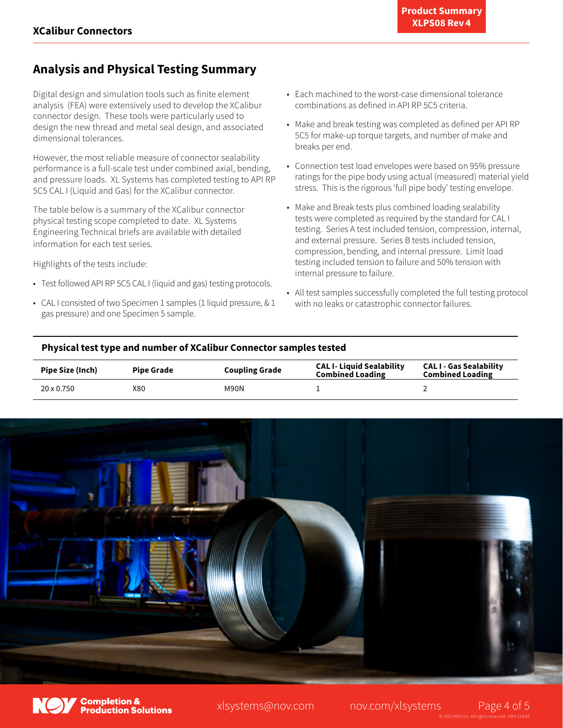## **Analysis and Physical Testing Summary**

Digital design and simulation tools such as finite element analysis (FEA) were extensively used to develop the XCalibur connector design. These tools were particularly used to design the new thread and metal seal design, and associated dimensional tolerances.

However, the most reliable measure of connector sealability performance is a full-scale test under combined axial, bending, and pressure loads. XL Systems has completed testing to API RP 5C5 CAL I (Liquid and Gas) for the XCalibur connector.

The table below is a summary of the XCalibur connector physical testing scope completed to date. XL Systems Engineering Technical briefs are available with detailed information for each test series.

Highlights of the tests include:

- Test followed API RP 5C5 CAL I (liquid and gas) testing protocols.
- CAL I consisted of two Specimen 1 samples (1 liquid pressure, & 1 gas pressure) and one Specimen 5 sample.
- Each machined to the worst-case dimensional tolerance combinations as defined in API RP 5C5 criteria.
- Make and break testing was completed as defined per API RP 5C5 for make-up torque targets, and number of make and breaks per end.
- Connection test load envelopes were based on 95% pressure ratings for the pipe body using actual (measured) material yield stress. This is the rigorous 'full pipe body' testing envelope.
- Make and Break tests plus combined loading sealability tests were completed as required by the standard for CAL I testing. Series A test included tension, compression, internal, and external pressure. Series B tests included tension, compression, bending, and internal pressure. Limit load testing included tension to failure and 50% tension with internal pressure to failure.
- All test samples successfully completed the full testing protocol with no leaks or catastrophic connector failures.

#### **Physical test type and number of XCalibur Connector samples tested**

| Pipe Size (Inch)  | <b>Pipe Grade</b> | <b>Coupling Grade</b> | <b>CAL I- Liquid Sealability</b><br><b>Combined Loading</b> | <b>CALI-Gas Sealability</b><br><b>Combined Loading</b> |
|-------------------|-------------------|-----------------------|-------------------------------------------------------------|--------------------------------------------------------|
| $20 \times 0.750$ | X80               | M90N                  |                                                             |                                                        |





Completion <mark>&</mark><br>Production Solutions

xlsystems@nov.com nov.com/xlsystems Page 4 of 5